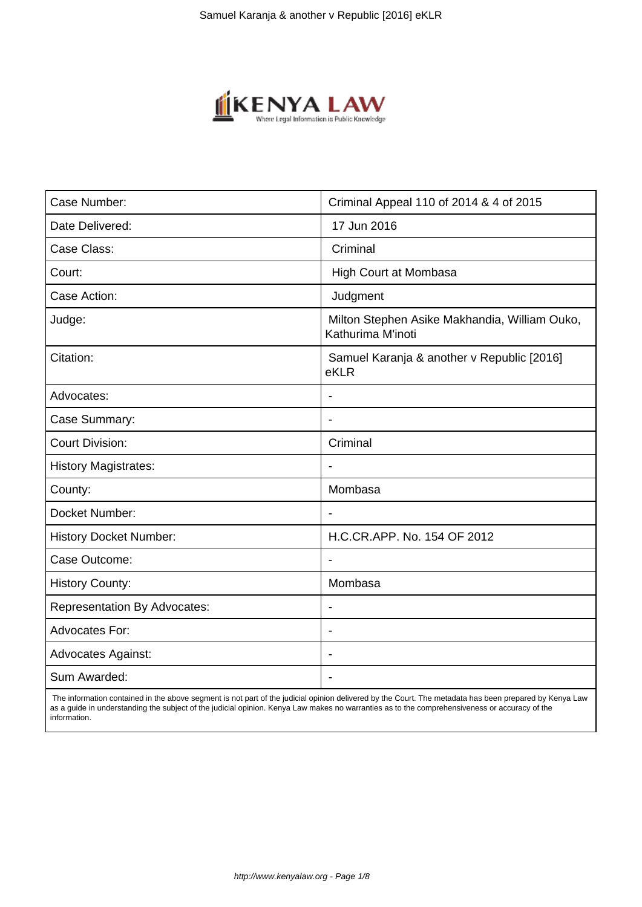

| Case Number:                        | Criminal Appeal 110 of 2014 & 4 of 2015                            |
|-------------------------------------|--------------------------------------------------------------------|
| Date Delivered:                     | 17 Jun 2016                                                        |
| Case Class:                         | Criminal                                                           |
| Court:                              | High Court at Mombasa                                              |
| Case Action:                        | Judgment                                                           |
| Judge:                              | Milton Stephen Asike Makhandia, William Ouko,<br>Kathurima M'inoti |
| Citation:                           | Samuel Karanja & another v Republic [2016]<br>eKLR                 |
| Advocates:                          |                                                                    |
| Case Summary:                       | $\blacksquare$                                                     |
| <b>Court Division:</b>              | Criminal                                                           |
| <b>History Magistrates:</b>         |                                                                    |
| County:                             | Mombasa                                                            |
| Docket Number:                      | $\overline{\phantom{a}}$                                           |
| <b>History Docket Number:</b>       | H.C.CR.APP. No. 154 OF 2012                                        |
| Case Outcome:                       |                                                                    |
| <b>History County:</b>              | Mombasa                                                            |
| <b>Representation By Advocates:</b> | $\blacksquare$                                                     |
| <b>Advocates For:</b>               | ÷                                                                  |
| <b>Advocates Against:</b>           |                                                                    |
| Sum Awarded:                        |                                                                    |
|                                     |                                                                    |

 The information contained in the above segment is not part of the judicial opinion delivered by the Court. The metadata has been prepared by Kenya Law as a guide in understanding the subject of the judicial opinion. Kenya Law makes no warranties as to the comprehensiveness or accuracy of the information.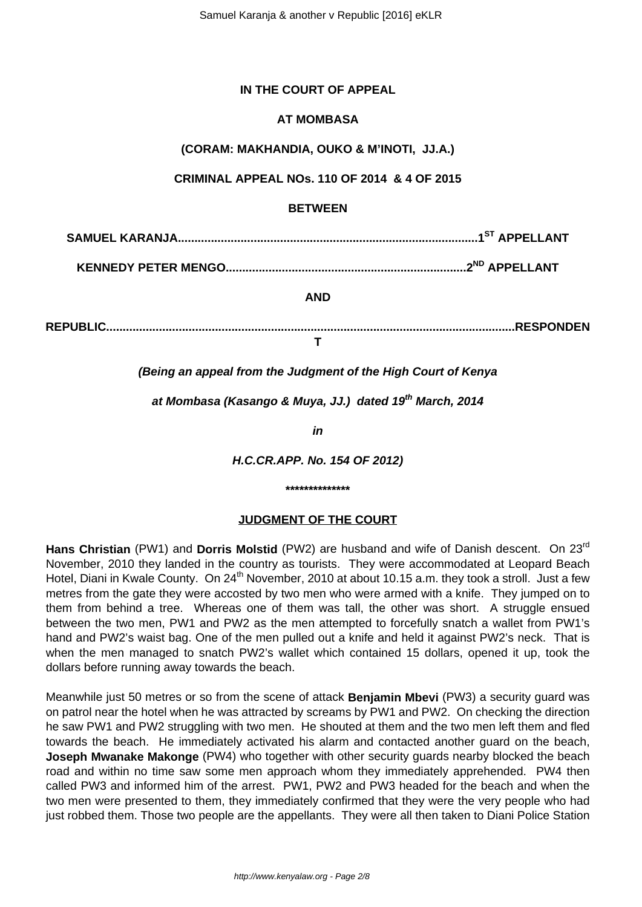# **IN THE COURT OF APPEAL**

# **AT MOMBASA**

**(CORAM: MAKHANDIA, OUKO & M'INOTI, JJ.A.)**

**CRIMINAL APPEAL NOs. 110 OF 2014 & 4 OF 2015**

# **BETWEEN**

**SAMUEL KARANJA...........................................................................................1ST APPELLANT**

**KENNEDY PETER MENGO.........................................................................2ND APPELLANT**

**AND**

**REPUBLIC............................................................................................................................RESPONDEN**

**T**

**(Being an appeal from the Judgment of the High Court of Kenya**

**at Mombasa (Kasango & Muya, JJ.) dated 19th March, 2014**

**in**

**H.C.CR.APP. No. 154 OF 2012)**

#### **\*\*\*\*\*\*\*\*\*\*\*\*\*\***

### **JUDGMENT OF THE COURT**

**Hans Christian** (PW1) and **Dorris Molstid** (PW2) are husband and wife of Danish descent. On 23rd November, 2010 they landed in the country as tourists. They were accommodated at Leopard Beach Hotel, Diani in Kwale County. On 24<sup>th</sup> November, 2010 at about 10.15 a.m. they took a stroll. Just a few metres from the gate they were accosted by two men who were armed with a knife. They jumped on to them from behind a tree. Whereas one of them was tall, the other was short. A struggle ensued between the two men, PW1 and PW2 as the men attempted to forcefully snatch a wallet from PW1's hand and PW2's waist bag. One of the men pulled out a knife and held it against PW2's neck. That is when the men managed to snatch PW2's wallet which contained 15 dollars, opened it up, took the dollars before running away towards the beach.

Meanwhile just 50 metres or so from the scene of attack **Benjamin Mbevi** (PW3) a security guard was on patrol near the hotel when he was attracted by screams by PW1 and PW2. On checking the direction he saw PW1 and PW2 struggling with two men. He shouted at them and the two men left them and fled towards the beach. He immediately activated his alarm and contacted another guard on the beach, **Joseph Mwanake Makonge** (PW4) who together with other security guards nearby blocked the beach road and within no time saw some men approach whom they immediately apprehended. PW4 then called PW3 and informed him of the arrest. PW1, PW2 and PW3 headed for the beach and when the two men were presented to them, they immediately confirmed that they were the very people who had just robbed them. Those two people are the appellants. They were all then taken to Diani Police Station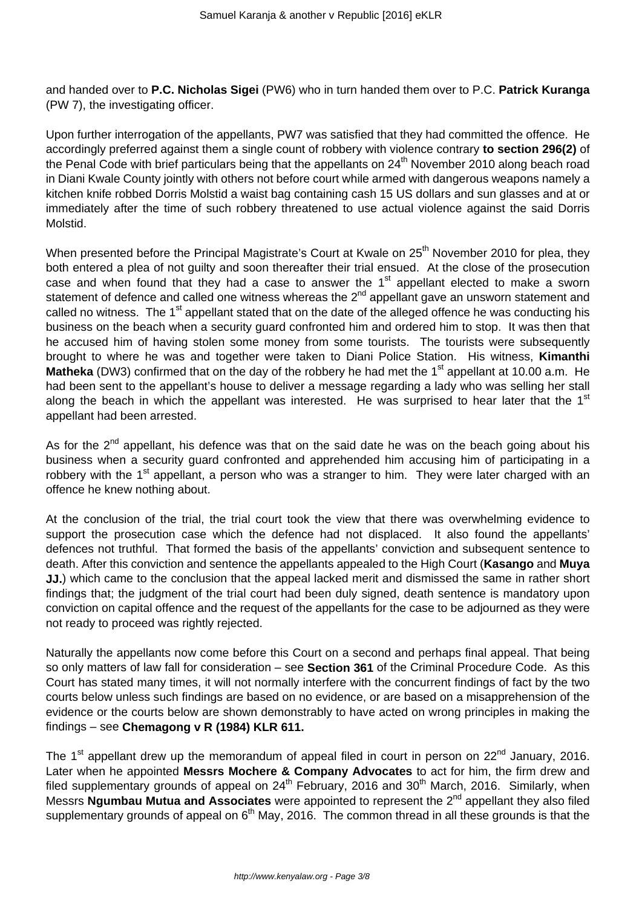and handed over to **P.C. Nicholas Sigei** (PW6) who in turn handed them over to P.C. **Patrick Kuranga** (PW 7), the investigating officer.

Upon further interrogation of the appellants, PW7 was satisfied that they had committed the offence. He accordingly preferred against them a single count of robbery with violence contrary **to section 296(2)** of the Penal Code with brief particulars being that the appellants on 24<sup>th</sup> November 2010 along beach road in Diani Kwale County jointly with others not before court while armed with dangerous weapons namely a kitchen knife robbed Dorris Molstid a waist bag containing cash 15 US dollars and sun glasses and at or immediately after the time of such robbery threatened to use actual violence against the said Dorris Molstid.

When presented before the Principal Magistrate's Court at Kwale on 25<sup>th</sup> November 2010 for plea, they both entered a plea of not guilty and soon thereafter their trial ensued. At the close of the prosecution case and when found that they had a case to answer the  $1<sup>st</sup>$  appellant elected to make a sworn statement of defence and called one witness whereas the 2<sup>nd</sup> appellant gave an unsworn statement and called no witness. The 1<sup>st</sup> appellant stated that on the date of the alleged offence he was conducting his business on the beach when a security guard confronted him and ordered him to stop. It was then that he accused him of having stolen some money from some tourists. The tourists were subsequently brought to where he was and together were taken to Diani Police Station. His witness, **Kimanthi** Matheka (DW3) confirmed that on the day of the robbery he had met the 1<sup>st</sup> appellant at 10.00 a.m. He had been sent to the appellant's house to deliver a message regarding a lady who was selling her stall along the beach in which the appellant was interested. He was surprised to hear later that the  $1<sup>st</sup>$ appellant had been arrested.

As for the  $2<sup>nd</sup>$  appellant, his defence was that on the said date he was on the beach going about his business when a security guard confronted and apprehended him accusing him of participating in a robbery with the  $1<sup>st</sup>$  appellant, a person who was a stranger to him. They were later charged with an offence he knew nothing about.

At the conclusion of the trial, the trial court took the view that there was overwhelming evidence to support the prosecution case which the defence had not displaced. It also found the appellants' defences not truthful. That formed the basis of the appellants' conviction and subsequent sentence to death. After this conviction and sentence the appellants appealed to the High Court (**Kasango** and **Muya JJ.**) which came to the conclusion that the appeal lacked merit and dismissed the same in rather short findings that; the judgment of the trial court had been duly signed, death sentence is mandatory upon conviction on capital offence and the request of the appellants for the case to be adjourned as they were not ready to proceed was rightly rejected.

Naturally the appellants now come before this Court on a second and perhaps final appeal. That being so only matters of law fall for consideration – see **Section 361** of the Criminal Procedure Code. As this Court has stated many times, it will not normally interfere with the concurrent findings of fact by the two courts below unless such findings are based on no evidence, or are based on a misapprehension of the evidence or the courts below are shown demonstrably to have acted on wrong principles in making the findings – see **Chemagong v R (1984) KLR 611.**

The  $1<sup>st</sup>$  appellant drew up the memorandum of appeal filed in court in person on  $22<sup>nd</sup>$  January, 2016. Later when he appointed **Messrs Mochere & Company Advocates** to act for him, the firm drew and filed supplementary grounds of appeal on  $24<sup>th</sup>$  February, 2016 and 30<sup>th</sup> March, 2016. Similarly, when Messrs **Ngumbau Mutua and Associates** were appointed to represent the 2nd appellant they also filed supplementary grounds of appeal on  $6<sup>th</sup>$  May, 2016. The common thread in all these grounds is that the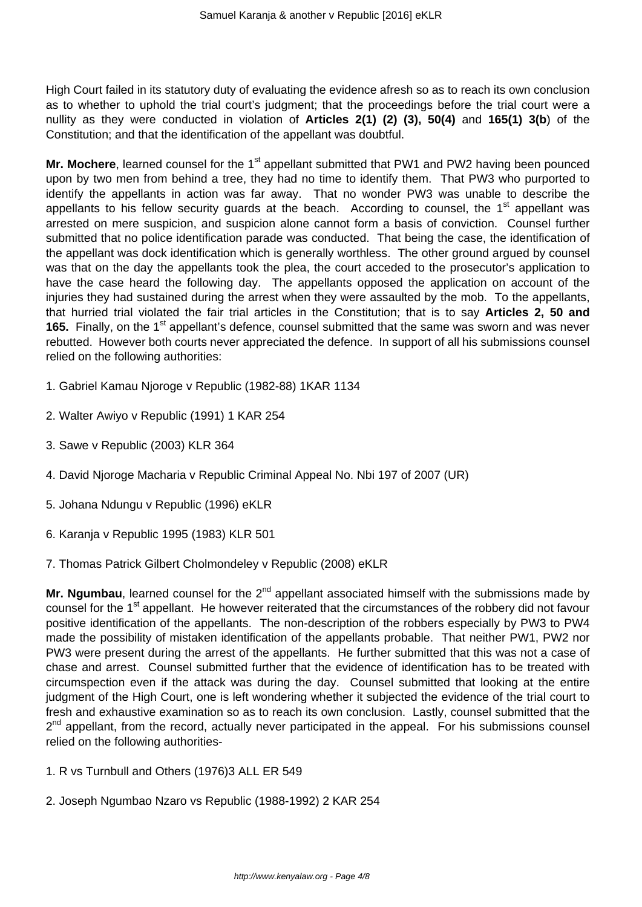High Court failed in its statutory duty of evaluating the evidence afresh so as to reach its own conclusion as to whether to uphold the trial court's judgment; that the proceedings before the trial court were a nullity as they were conducted in violation of **Articles 2(1) (2) (3), 50(4)** and **165(1) 3(b**) of the Constitution; and that the identification of the appellant was doubtful.

Mr. Mochere, learned counsel for the 1<sup>st</sup> appellant submitted that PW1 and PW2 having been pounced upon by two men from behind a tree, they had no time to identify them. That PW3 who purported to identify the appellants in action was far away. That no wonder PW3 was unable to describe the appellants to his fellow security guards at the beach. According to counsel, the 1<sup>st</sup> appellant was arrested on mere suspicion, and suspicion alone cannot form a basis of conviction. Counsel further submitted that no police identification parade was conducted. That being the case, the identification of the appellant was dock identification which is generally worthless. The other ground argued by counsel was that on the day the appellants took the plea, the court acceded to the prosecutor's application to have the case heard the following day. The appellants opposed the application on account of the injuries they had sustained during the arrest when they were assaulted by the mob. To the appellants, that hurried trial violated the fair trial articles in the Constitution; that is to say **Articles 2, 50 and** 165. Finally, on the 1<sup>st</sup> appellant's defence, counsel submitted that the same was sworn and was never rebutted. However both courts never appreciated the defence. In support of all his submissions counsel relied on the following authorities:

- 1. Gabriel Kamau Njoroge v Republic (1982-88) 1KAR 1134
- 2. Walter Awiyo v Republic (1991) 1 KAR 254
- 3. Sawe v Republic (2003) KLR 364
- 4. David Njoroge Macharia v Republic Criminal Appeal No. Nbi 197 of 2007 (UR)
- 5. Johana Ndungu v Republic (1996) eKLR
- 6. Karanja v Republic 1995 (1983) KLR 501
- 7. Thomas Patrick Gilbert Cholmondeley v Republic (2008) eKLR

Mr. Ngumbau, learned counsel for the 2<sup>nd</sup> appellant associated himself with the submissions made by counsel for the 1<sup>st</sup> appellant. He however reiterated that the circumstances of the robbery did not favour positive identification of the appellants. The non-description of the robbers especially by PW3 to PW4 made the possibility of mistaken identification of the appellants probable. That neither PW1, PW2 nor PW3 were present during the arrest of the appellants. He further submitted that this was not a case of chase and arrest. Counsel submitted further that the evidence of identification has to be treated with circumspection even if the attack was during the day. Counsel submitted that looking at the entire judgment of the High Court, one is left wondering whether it subjected the evidence of the trial court to fresh and exhaustive examination so as to reach its own conclusion. Lastly, counsel submitted that the 2<sup>nd</sup> appellant, from the record, actually never participated in the appeal. For his submissions counsel relied on the following authorities-

- 1. R vs Turnbull and Others (1976)3 ALL ER 549
- 2. Joseph Ngumbao Nzaro vs Republic (1988-1992) 2 KAR 254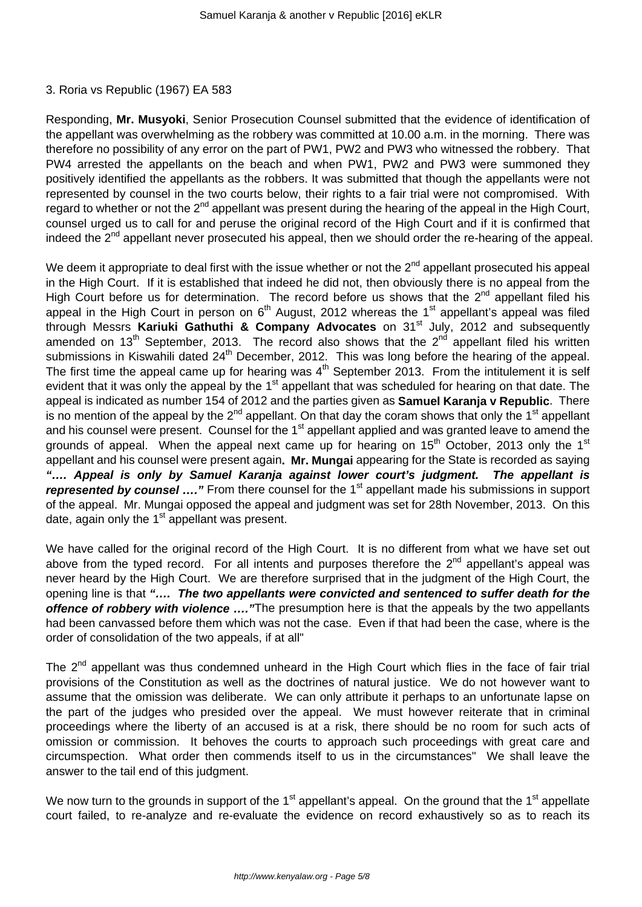#### 3. Roria vs Republic (1967) EA 583

Responding, **Mr. Musyoki**, Senior Prosecution Counsel submitted that the evidence of identification of the appellant was overwhelming as the robbery was committed at 10.00 a.m. in the morning. There was therefore no possibility of any error on the part of PW1, PW2 and PW3 who witnessed the robbery. That PW4 arrested the appellants on the beach and when PW1, PW2 and PW3 were summoned they positively identified the appellants as the robbers. It was submitted that though the appellants were not represented by counsel in the two courts below, their rights to a fair trial were not compromised. With regard to whether or not the 2<sup>nd</sup> appellant was present during the hearing of the appeal in the High Court, counsel urged us to call for and peruse the original record of the High Court and if it is confirmed that indeed the 2<sup>nd</sup> appellant never prosecuted his appeal, then we should order the re-hearing of the appeal.

We deem it appropriate to deal first with the issue whether or not the  $2^{nd}$  appellant prosecuted his appeal in the High Court. If it is established that indeed he did not, then obviously there is no appeal from the High Court before us for determination. The record before us shows that the 2<sup>nd</sup> appellant filed his appeal in the High Court in person on  $6<sup>th</sup>$  August, 2012 whereas the 1<sup>st</sup> appellant's appeal was filed through Messrs **Kariuki Gathuthi & Company Advocates** on 31st July, 2012 and subsequently amended on 13<sup>th</sup> September, 2013. The record also shows that the 2<sup>nd</sup> appellant filed his written submissions in Kiswahili dated 24<sup>th</sup> December, 2012. This was long before the hearing of the appeal. The first time the appeal came up for hearing was  $4<sup>th</sup>$  September 2013. From the intitulement it is self evident that it was only the appeal by the 1<sup>st</sup> appellant that was scheduled for hearing on that date. The appeal is indicated as number 154 of 2012 and the parties given as **Samuel Karanja v Republic**. There is no mention of the appeal by the 2<sup>nd</sup> appellant. On that day the coram shows that only the 1<sup>st</sup> appellant and his counsel were present. Counsel for the 1<sup>st</sup> appellant applied and was granted leave to amend the grounds of appeal. When the appeal next came up for hearing on  $15<sup>th</sup>$  October, 2013 only the  $1<sup>st</sup>$ appellant and his counsel were present again**. Mr. Mungai** appearing for the State is recorded as saying **"…. Appeal is only by Samuel Karanja against lower court's judgment. The appellant is represented by counsel ....**" From there counsel for the 1<sup>st</sup> appellant made his submissions in support of the appeal. Mr. Mungai opposed the appeal and judgment was set for 28th November, 2013. On this date, again only the  $1<sup>st</sup>$  appellant was present.

We have called for the original record of the High Court. It is no different from what we have set out above from the typed record. For all intents and purposes therefore the  $2^{nd}$  appellant's appeal was never heard by the High Court. We are therefore surprised that in the judgment of the High Court, the opening line is that **"…. The two appellants were convicted and sentenced to suffer death for the offence of robbery with violence ....** "The presumption here is that the appeals by the two appellants had been canvassed before them which was not the case. Even if that had been the case, where is the order of consolidation of the two appeals, if at all"

The 2<sup>nd</sup> appellant was thus condemned unheard in the High Court which flies in the face of fair trial provisions of the Constitution as well as the doctrines of natural justice. We do not however want to assume that the omission was deliberate. We can only attribute it perhaps to an unfortunate lapse on the part of the judges who presided over the appeal. We must however reiterate that in criminal proceedings where the liberty of an accused is at a risk, there should be no room for such acts of omission or commission. It behoves the courts to approach such proceedings with great care and circumspection. What order then commends itself to us in the circumstances" We shall leave the answer to the tail end of this judgment.

We now turn to the grounds in support of the  $1<sup>st</sup>$  appellant's appeal. On the ground that the  $1<sup>st</sup>$  appellate court failed, to re-analyze and re-evaluate the evidence on record exhaustively so as to reach its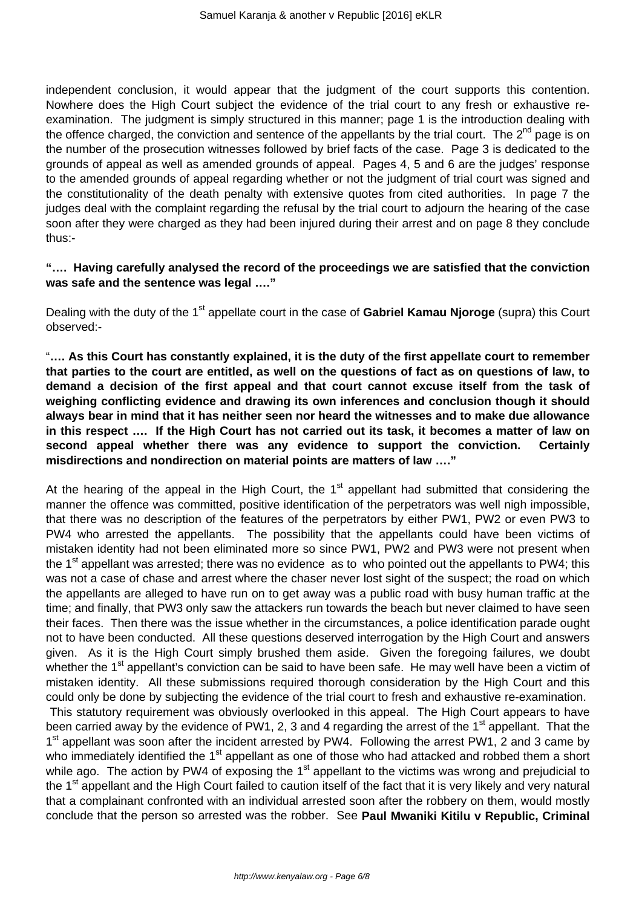independent conclusion, it would appear that the judgment of the court supports this contention. Nowhere does the High Court subject the evidence of the trial court to any fresh or exhaustive reexamination. The judgment is simply structured in this manner; page 1 is the introduction dealing with the offence charged, the conviction and sentence of the appellants by the trial court. The  $2^{nd}$  page is on the number of the prosecution witnesses followed by brief facts of the case. Page 3 is dedicated to the grounds of appeal as well as amended grounds of appeal. Pages 4, 5 and 6 are the judges' response to the amended grounds of appeal regarding whether or not the judgment of trial court was signed and the constitutionality of the death penalty with extensive quotes from cited authorities. In page 7 the judges deal with the complaint regarding the refusal by the trial court to adjourn the hearing of the case soon after they were charged as they had been injured during their arrest and on page 8 they conclude thus:-

# **"…. Having carefully analysed the record of the proceedings we are satisfied that the conviction was safe and the sentence was legal …."**

Dealing with the duty of the 1<sup>st</sup> appellate court in the case of **Gabriel Kamau Nioroge** (supra) this Court observed:-

"**…. As this Court has constantly explained, it is the duty of the first appellate court to remember that parties to the court are entitled, as well on the questions of fact as on questions of law, to demand a decision of the first appeal and that court cannot excuse itself from the task of weighing conflicting evidence and drawing its own inferences and conclusion though it should always bear in mind that it has neither seen nor heard the witnesses and to make due allowance in this respect …. If the High Court has not carried out its task, it becomes a matter of law on second appeal whether there was any evidence to support the conviction. Certainly misdirections and nondirection on material points are matters of law …."**

At the hearing of the appeal in the High Court, the  $1<sup>st</sup>$  appellant had submitted that considering the manner the offence was committed, positive identification of the perpetrators was well nigh impossible, that there was no description of the features of the perpetrators by either PW1, PW2 or even PW3 to PW4 who arrested the appellants. The possibility that the appellants could have been victims of mistaken identity had not been eliminated more so since PW1, PW2 and PW3 were not present when the  $1<sup>st</sup>$  appellant was arrested; there was no evidence as to who pointed out the appellants to PW4; this was not a case of chase and arrest where the chaser never lost sight of the suspect; the road on which the appellants are alleged to have run on to get away was a public road with busy human traffic at the time; and finally, that PW3 only saw the attackers run towards the beach but never claimed to have seen their faces. Then there was the issue whether in the circumstances, a police identification parade ought not to have been conducted. All these questions deserved interrogation by the High Court and answers given. As it is the High Court simply brushed them aside. Given the foregoing failures, we doubt whether the 1<sup>st</sup> appellant's conviction can be said to have been safe. He may well have been a victim of mistaken identity. All these submissions required thorough consideration by the High Court and this could only be done by subjecting the evidence of the trial court to fresh and exhaustive re-examination. This statutory requirement was obviously overlooked in this appeal. The High Court appears to have been carried away by the evidence of PW1, 2, 3 and 4 regarding the arrest of the  $1<sup>st</sup>$  appellant. That the 1<sup>st</sup> appellant was soon after the incident arrested by PW4. Following the arrest PW1, 2 and 3 came by who immediately identified the 1<sup>st</sup> appellant as one of those who had attacked and robbed them a short while ago. The action by PW4 of exposing the 1<sup>st</sup> appellant to the victims was wrong and prejudicial to the 1<sup>st</sup> appellant and the High Court failed to caution itself of the fact that it is very likely and very natural that a complainant confronted with an individual arrested soon after the robbery on them, would mostly conclude that the person so arrested was the robber. See **Paul Mwaniki Kitilu v Republic, Criminal**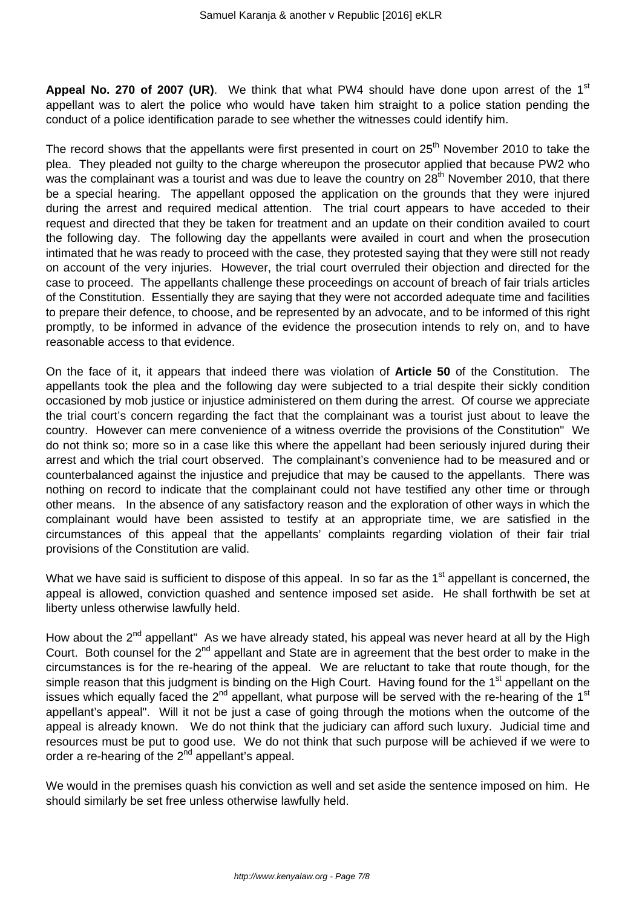**Appeal No. 270 of 2007 (UR)**. We think that what PW4 should have done upon arrest of the 1<sup>st</sup> appellant was to alert the police who would have taken him straight to a police station pending the conduct of a police identification parade to see whether the witnesses could identify him.

The record shows that the appellants were first presented in court on  $25<sup>th</sup>$  November 2010 to take the plea. They pleaded not guilty to the charge whereupon the prosecutor applied that because PW2 who was the complainant was a tourist and was due to leave the country on 28<sup>th</sup> November 2010, that there be a special hearing. The appellant opposed the application on the grounds that they were injured during the arrest and required medical attention. The trial court appears to have acceded to their request and directed that they be taken for treatment and an update on their condition availed to court the following day. The following day the appellants were availed in court and when the prosecution intimated that he was ready to proceed with the case, they protested saying that they were still not ready on account of the very injuries. However, the trial court overruled their objection and directed for the case to proceed. The appellants challenge these proceedings on account of breach of fair trials articles of the Constitution. Essentially they are saying that they were not accorded adequate time and facilities to prepare their defence, to choose, and be represented by an advocate, and to be informed of this right promptly, to be informed in advance of the evidence the prosecution intends to rely on, and to have reasonable access to that evidence.

On the face of it, it appears that indeed there was violation of **Article 50** of the Constitution. The appellants took the plea and the following day were subjected to a trial despite their sickly condition occasioned by mob justice or injustice administered on them during the arrest. Of course we appreciate the trial court's concern regarding the fact that the complainant was a tourist just about to leave the country. However can mere convenience of a witness override the provisions of the Constitution" We do not think so; more so in a case like this where the appellant had been seriously injured during their arrest and which the trial court observed. The complainant's convenience had to be measured and or counterbalanced against the injustice and prejudice that may be caused to the appellants. There was nothing on record to indicate that the complainant could not have testified any other time or through other means. In the absence of any satisfactory reason and the exploration of other ways in which the complainant would have been assisted to testify at an appropriate time, we are satisfied in the circumstances of this appeal that the appellants' complaints regarding violation of their fair trial provisions of the Constitution are valid.

What we have said is sufficient to dispose of this appeal. In so far as the 1<sup>st</sup> appellant is concerned, the appeal is allowed, conviction quashed and sentence imposed set aside. He shall forthwith be set at liberty unless otherwise lawfully held.

How about the 2<sup>nd</sup> appellant" As we have already stated, his appeal was never heard at all by the High Court. Both counsel for the 2<sup>nd</sup> appellant and State are in agreement that the best order to make in the circumstances is for the re-hearing of the appeal. We are reluctant to take that route though, for the simple reason that this judgment is binding on the High Court. Having found for the 1<sup>st</sup> appellant on the issues which equally faced the  $2^{nd}$  appellant, what purpose will be served with the re-hearing of the 1<sup>st</sup> appellant's appeal". Will it not be just a case of going through the motions when the outcome of the appeal is already known. We do not think that the judiciary can afford such luxury. Judicial time and resources must be put to good use. We do not think that such purpose will be achieved if we were to order a re-hearing of the  $2^{nd}$  appellant's appeal.

We would in the premises quash his conviction as well and set aside the sentence imposed on him. He should similarly be set free unless otherwise lawfully held.